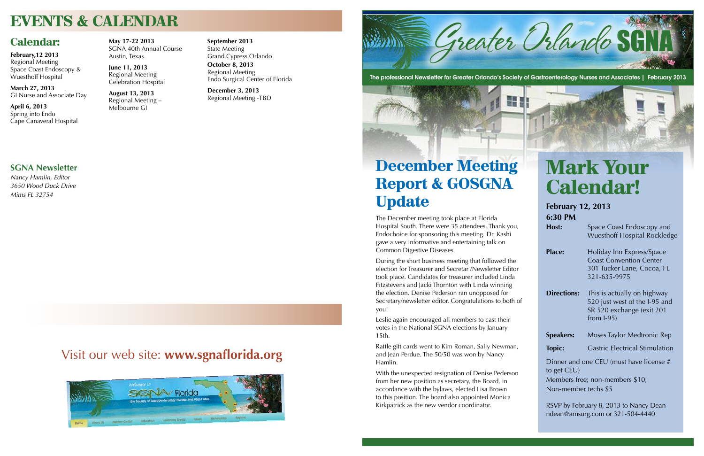## **December Meeting Report & GOSGNA Update**

The December meeting took place at Florida Hospital South. There were 35 attendees. Thank you, Endochoice for sponsoring this meeting. Dr. Kashi gave a very informative and entertaining talk on Common Digestive Diseases.

During the short business meeting that followed the election for Treasurer and Secretar /Newsletter Editor took place. Candidates for treasurer included Linda Fitzstevens and Jacki Thornton with Linda winning the election. Denise Pederson ran unopposed for Secretary/newsletter editor. Congratulations to both of you!

Leslie again encouraged all members to cast their votes in the National SGNA elections by January 15th.

**Host:** Space Coast Endoscopy and Wuesthoff Hospital Rockledge

**Place:** Holiday Inn Express/Space Coast Convention Center 301 Tucker Lane, Cocoa, FL 321-635-9975

Raffle gift cards went to Kim Roman, Sally Newman, and Jean Perdue. The 50/50 was won by Nancy Hamlin.

**Directions:** This is actually on highway 520 just west of the I-95 and SR 520 exchange (exit 201 from I-95)

**Speakers:** Moses Taylor Medtronic Rep

**Topic:** Gastric Electrical Stimulation

With the unexpected resignation of Denise Pederson from her new position as secretary, the Board, in accordance with the bylaws, elected Lisa Brown to this position. The board also appointed Monica Kirkpatrick as the new vendor coordinator.



The professional Newsletter for Greater Orlando's Society of Gastroenterology Nurses and Associates | February 2013

# **Mark Your Calendar!**

**February 12, 2013 6:30 PM**

Dinner and one CEU (must have license # to get CEU)

Members free; non-members \$10; Non-member techs \$5

RSVP by February 8, 2013 to Nancy Dean ndean@amsurg.com or 321-504-4440

### **SGNA Newsletter**

*Nancy Hamlin, Editor 3650 Wood Duck Drive Mims FL 32754*

## **EVENTS & CALENDAR**

### **Calendar:**

**February,12 2013** Regional Meeting Space Coast Endoscopy & Wuesthoff Hospital

**March 27, 2013** GI Nurse and Associate Day

**April 6, 2013** Spring into Endo Cape Canaveral Hospital **May 17-22 2013** SGNA 40th Annual Course Austin, Texas

**June 11, 2013** Regional Meeting Celebration Hospital

**August 13, 2013** Regional Meeting – Melbourne GI

**September 2013** State Meeting Grand Cypress Orlando

**October 8, 2013** Regional Meeting Endo Surgical Center of Florida

**December 3, 2013** Regional Meeting -TBD

### Visit our web site: **www.sgnaflorida.org**